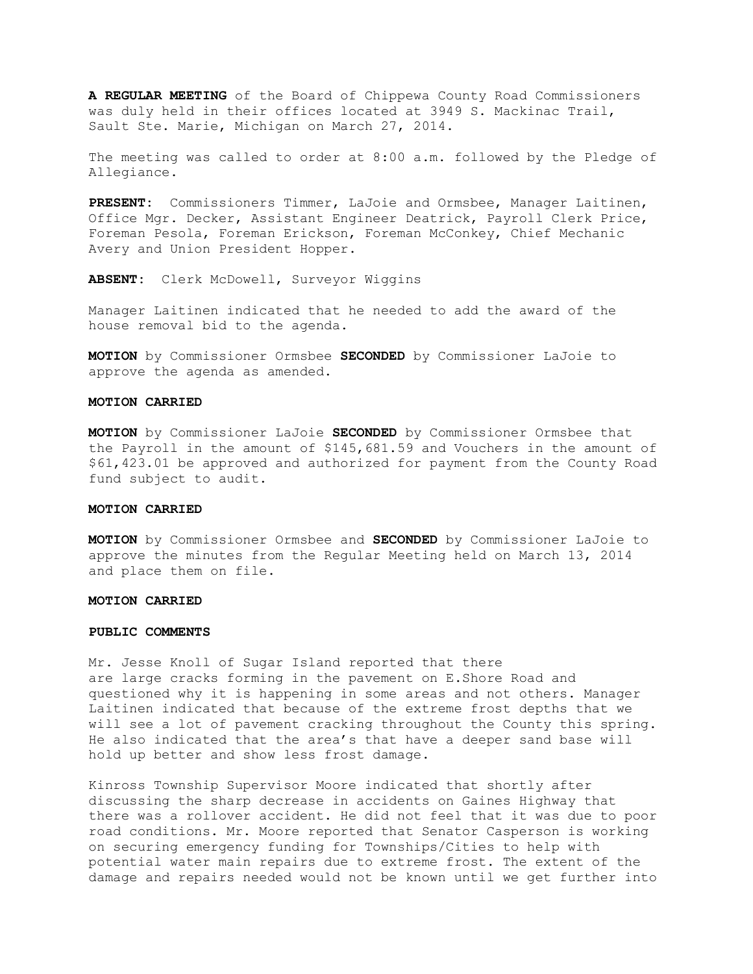**A REGULAR MEETING** of the Board of Chippewa County Road Commissioners was duly held in their offices located at 3949 S. Mackinac Trail, Sault Ste. Marie, Michigan on March 27, 2014.

The meeting was called to order at 8:00 a.m. followed by the Pledge of Allegiance.

**PRESENT:** Commissioners Timmer, LaJoie and Ormsbee, Manager Laitinen, Office Mgr. Decker, Assistant Engineer Deatrick, Payroll Clerk Price, Foreman Pesola, Foreman Erickson, Foreman McConkey, Chief Mechanic Avery and Union President Hopper.

**ABSENT:** Clerk McDowell, Surveyor Wiggins

Manager Laitinen indicated that he needed to add the award of the house removal bid to the agenda.

**MOTION** by Commissioner Ormsbee **SECONDED** by Commissioner LaJoie to approve the agenda as amended.

## **MOTION CARRIED**

**MOTION** by Commissioner LaJoie **SECONDED** by Commissioner Ormsbee that the Payroll in the amount of \$145,681.59 and Vouchers in the amount of \$61,423.01 be approved and authorized for payment from the County Road fund subject to audit.

## **MOTION CARRIED**

**MOTION** by Commissioner Ormsbee and **SECONDED** by Commissioner LaJoie to approve the minutes from the Regular Meeting held on March 13, 2014 and place them on file.

# **MOTION CARRIED**

## **PUBLIC COMMENTS**

Mr. Jesse Knoll of Sugar Island reported that there are large cracks forming in the pavement on E.Shore Road and questioned why it is happening in some areas and not others. Manager Laitinen indicated that because of the extreme frost depths that we will see a lot of pavement cracking throughout the County this spring. He also indicated that the area's that have a deeper sand base will hold up better and show less frost damage.

Kinross Township Supervisor Moore indicated that shortly after discussing the sharp decrease in accidents on Gaines Highway that there was a rollover accident. He did not feel that it was due to poor road conditions. Mr. Moore reported that Senator Casperson is working on securing emergency funding for Townships/Cities to help with potential water main repairs due to extreme frost. The extent of the damage and repairs needed would not be known until we get further into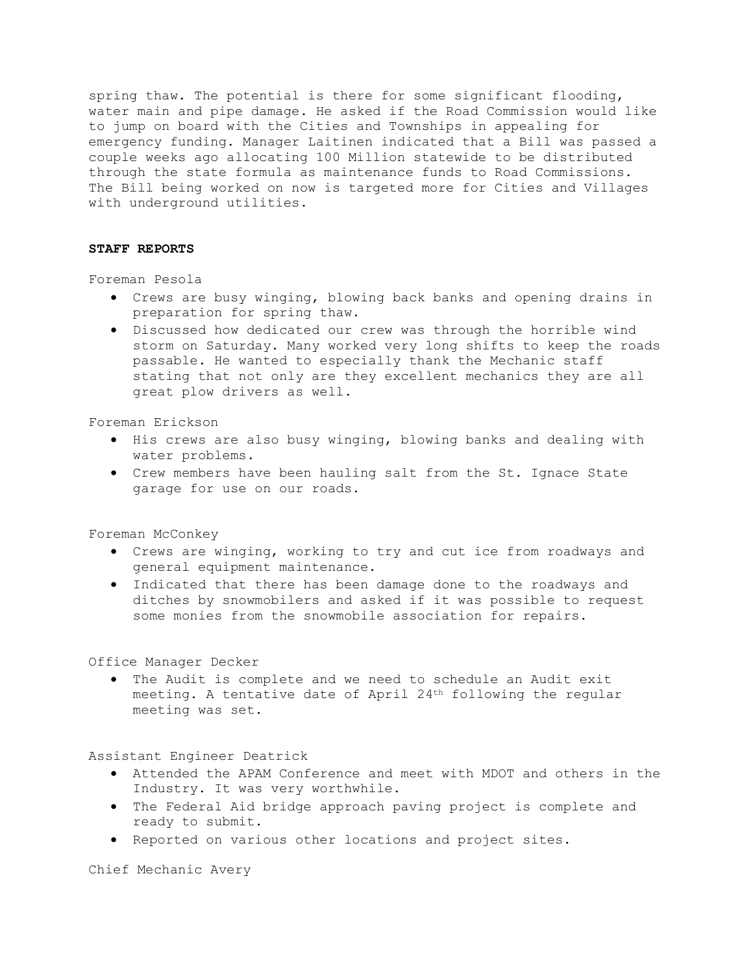spring thaw. The potential is there for some significant flooding, water main and pipe damage. He asked if the Road Commission would like to jump on board with the Cities and Townships in appealing for emergency funding. Manager Laitinen indicated that a Bill was passed a couple weeks ago allocating 100 Million statewide to be distributed through the state formula as maintenance funds to Road Commissions. The Bill being worked on now is targeted more for Cities and Villages with underground utilities.

# **STAFF REPORTS**

Foreman Pesola

- · Crews are busy winging, blowing back banks and opening drains in preparation for spring thaw.
- · Discussed how dedicated our crew was through the horrible wind storm on Saturday. Many worked very long shifts to keep the roads passable. He wanted to especially thank the Mechanic staff stating that not only are they excellent mechanics they are all great plow drivers as well.

Foreman Erickson

- · His crews are also busy winging, blowing banks and dealing with water problems.
- · Crew members have been hauling salt from the St. Ignace State garage for use on our roads.

Foreman McConkey

- · Crews are winging, working to try and cut ice from roadways and general equipment maintenance.
- · Indicated that there has been damage done to the roadways and ditches by snowmobilers and asked if it was possible to request some monies from the snowmobile association for repairs.

Office Manager Decker

· The Audit is complete and we need to schedule an Audit exit meeting. A tentative date of April 24th following the regular meeting was set.

Assistant Engineer Deatrick

- · Attended the APAM Conference and meet with MDOT and others in the Industry. It was very worthwhile.
- · The Federal Aid bridge approach paving project is complete and ready to submit.
- · Reported on various other locations and project sites.

Chief Mechanic Avery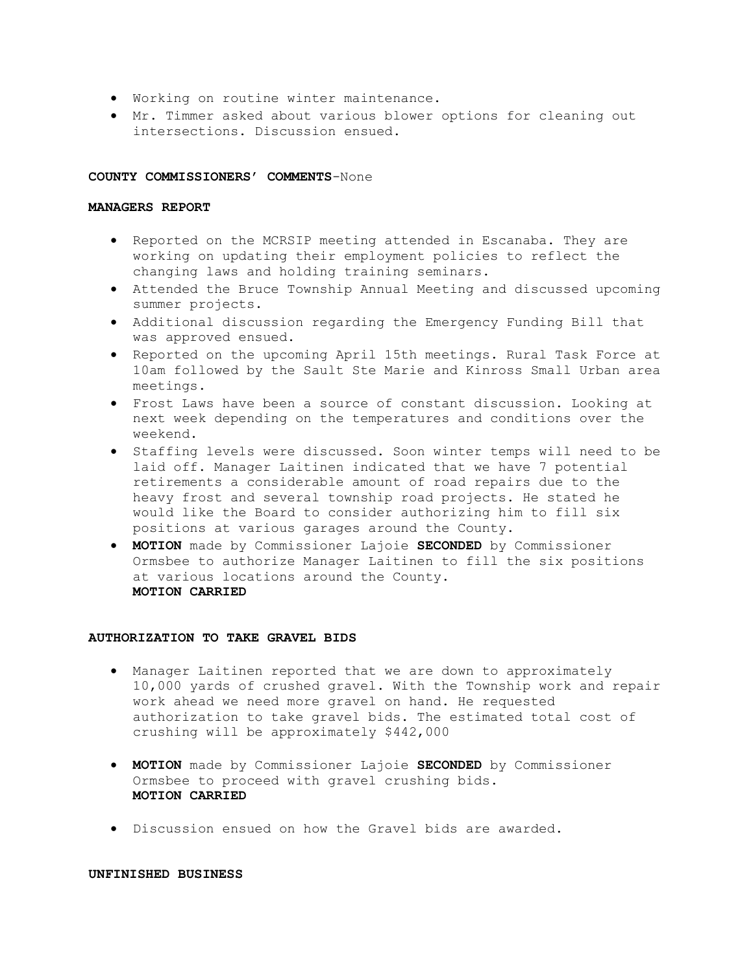- · Working on routine winter maintenance.
- · Mr. Timmer asked about various blower options for cleaning out intersections. Discussion ensued.

## **COUNTY COMMISSIONERS' COMMENTS**-None

## **MANAGERS REPORT**

- · Reported on the MCRSIP meeting attended in Escanaba. They are working on updating their employment policies to reflect the changing laws and holding training seminars.
- · Attended the Bruce Township Annual Meeting and discussed upcoming summer projects.
- · Additional discussion regarding the Emergency Funding Bill that was approved ensued.
- · Reported on the upcoming April 15th meetings. Rural Task Force at 10am followed by the Sault Ste Marie and Kinross Small Urban area meetings.
- · Frost Laws have been a source of constant discussion. Looking at next week depending on the temperatures and conditions over the weekend.
- · Staffing levels were discussed. Soon winter temps will need to be laid off. Manager Laitinen indicated that we have 7 potential retirements a considerable amount of road repairs due to the heavy frost and several township road projects. He stated he would like the Board to consider authorizing him to fill six positions at various garages around the County.
- · **MOTION** made by Commissioner Lajoie **SECONDED** by Commissioner Ormsbee to authorize Manager Laitinen to fill the six positions at various locations around the County. **MOTION CARRIED**

## **AUTHORIZATION TO TAKE GRAVEL BIDS**

- · Manager Laitinen reported that we are down to approximately 10,000 yards of crushed gravel. With the Township work and repair work ahead we need more gravel on hand. He requested authorization to take gravel bids. The estimated total cost of crushing will be approximately \$442,000
- · **MOTION** made by Commissioner Lajoie **SECONDED** by Commissioner Ormsbee to proceed with gravel crushing bids. **MOTION CARRIED**
- · Discussion ensued on how the Gravel bids are awarded.

# **UNFINISHED BUSINESS**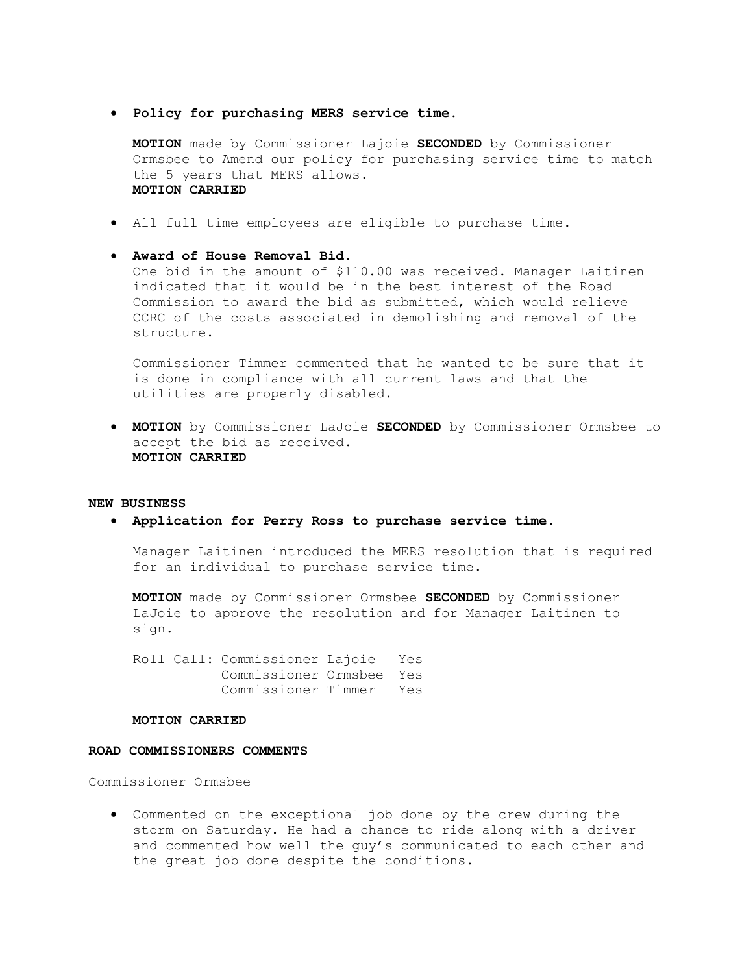· **Policy for purchasing MERS service time.**

**MOTION** made by Commissioner Lajoie **SECONDED** by Commissioner Ormsbee to Amend our policy for purchasing service time to match the 5 years that MERS allows. **MOTION CARRIED**

- · All full time employees are eligible to purchase time.
- · **Award of House Removal Bid.**

One bid in the amount of \$110.00 was received. Manager Laitinen indicated that it would be in the best interest of the Road Commission to award the bid as submitted, which would relieve CCRC of the costs associated in demolishing and removal of the structure.

Commissioner Timmer commented that he wanted to be sure that it is done in compliance with all current laws and that the utilities are properly disabled.

· **MOTION** by Commissioner LaJoie **SECONDED** by Commissioner Ormsbee to accept the bid as received. **MOTION CARRIED**

### **NEW BUSINESS**

· **Application for Perry Ross to purchase service time.**

Manager Laitinen introduced the MERS resolution that is required for an individual to purchase service time.

**MOTION** made by Commissioner Ormsbee **SECONDED** by Commissioner LaJoie to approve the resolution and for Manager Laitinen to sign.

Roll Call: Commissioner Lajoie Yes Commissioner Ormsbee Yes Commissioner Timmer Yes

#### **MOTION CARRIED**

# **ROAD COMMISSIONERS COMMENTS**

Commissioner Ormsbee

· Commented on the exceptional job done by the crew during the storm on Saturday. He had a chance to ride along with a driver and commented how well the guy's communicated to each other and the great job done despite the conditions.